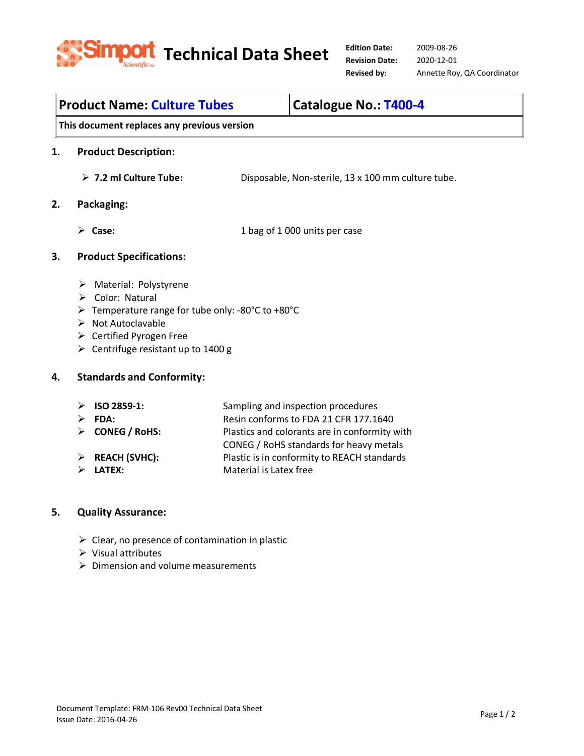

# **This document replaces any previous version 1. Product Description: 7.2 ml Culture Tube:** Disposable, Non-sterile, 13 x 100 mm culture tube. **2. Packaging: Case:** 1 bag of 1 000 units per case **3. Product Specifications:** > Material: Polystyrene  $\triangleright$  Color: Natural Temperature range for tube only: -80°C to +80°C  $\triangleright$  Not Autoclavable ▶ Certified Pyrogen Free  $\triangleright$  Centrifuge resistant up to 1400 g **4. Standards and Conformity:**

| $\triangleright$ ISO 2859-1:   | Sampling and inspection procedures            |
|--------------------------------|-----------------------------------------------|
| FDA:                           | Resin conforms to FDA 21 CFR 177.1640         |
| > CONEG / RoHS:                | Plastics and colorants are in conformity with |
|                                | CONEG / RoHS standards for heavy metals       |
| $\triangleright$ REACH (SVHC): | Plastic is in conformity to REACH standards   |
| <b>LATEX:</b>                  | Material is Latex free                        |

**Product Name: Culture Tubes Catalogue No.: T400-4** 

# **5. Quality Assurance:**

- $\triangleright$  Clear, no presence of contamination in plastic
- $\triangleright$  Visual attributes
- $\triangleright$  Dimension and volume measurements